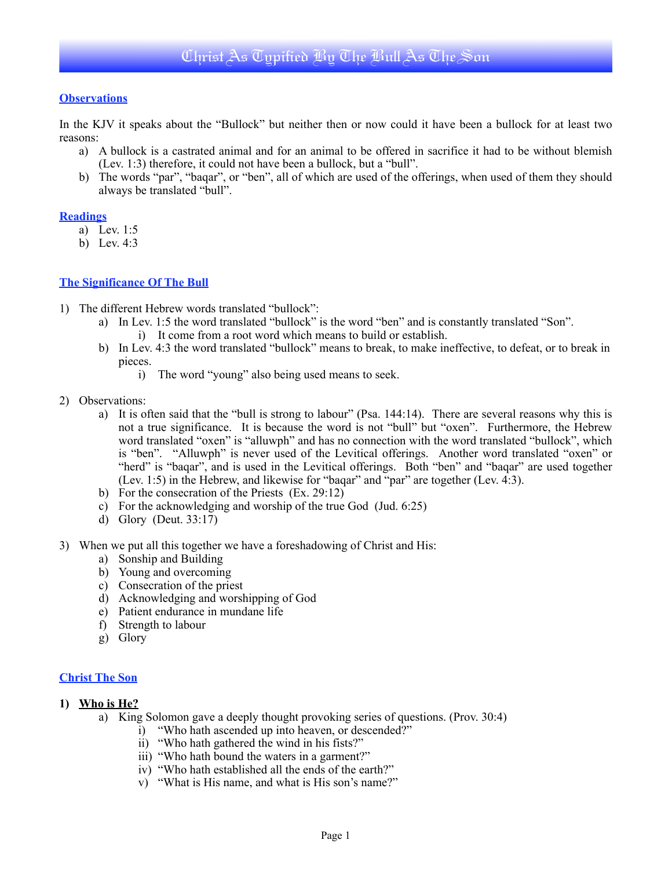# **Observations**

In the KJV it speaks about the "Bullock" but neither then or now could it have been a bullock for at least two reasons:

- a) A bullock is a castrated animal and for an animal to be offered in sacrifice it had to be without blemish (Lev. 1:3) therefore, it could not have been a bullock, but a "bull".
- b) The words "par", "baqar", or "ben", all of which are used of the offerings, when used of them they should always be translated "bull".

# **Readings**

- a) Lev. 1:5
- b) Lev. 4:3

# **The Significance Of The Bull**

- 1) The different Hebrew words translated "bullock":
	- a) In Lev. 1:5 the word translated "bullock" is the word "ben" and is constantly translated "Son".
		- i) It come from a root word which means to build or establish.
	- b) In Lev. 4:3 the word translated "bullock" means to break, to make ineffective, to defeat, or to break in pieces.
		- i) The word "young" also being used means to seek.
- 2) Observations:
	- a) It is often said that the "bull is strong to labour" (Psa. 144:14).There are several reasons why this is not a true significance. It is because the word is not "bull" but "oxen". Furthermore, the Hebrew word translated "oxen" is "alluwph" and has no connection with the word translated "bullock", which is "ben". "Alluwph" is never used of the Levitical offerings. Another word translated "oxen" or "herd" is "baqar", and is used in the Levitical offerings. Both "ben" and "baqar" are used together (Lev. 1:5) in the Hebrew, and likewise for "baqar" and "par" are together (Lev. 4:3).
	- b) For the consecration of the Priests (Ex. 29:12)
	- c) For the acknowledging and worship of the true God (Jud. 6:25)
	- d) Glory (Deut. 33:17)
- 3) When we put all this together we have a foreshadowing of Christ and His:
	- a) Sonship and Building
	- b) Young and overcoming
	- c) Consecration of the priest
	- d) Acknowledging and worshipping of God
	- e) Patient endurance in mundane life
	- f) Strength to labour
	- g) Glory

# **Christ The Son**

# **1) Who is He?**

- a) King Solomon gave a deeply thought provoking series of questions. (Prov. 30:4)
	- i) "Who hath ascended up into heaven, or descended?"
	- ii) "Who hath gathered the wind in his fists?"
	- iii) "Who hath bound the waters in a garment?"
	- iv) "Who hath established all the ends of the earth?"
	- v) "What is His name, and what is His son's name?"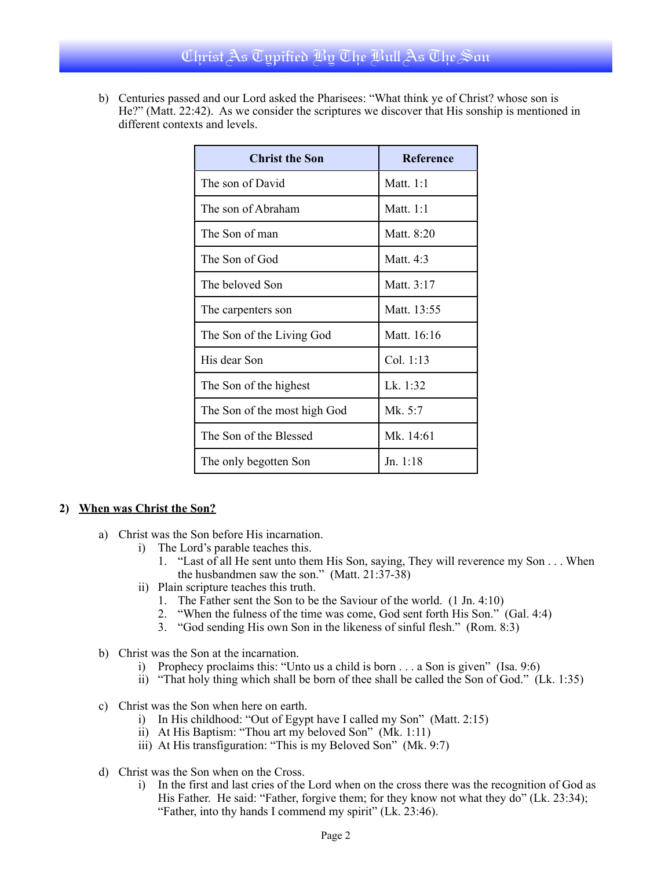# Christ As Typified By The Bull As The Son

b) Centuries passed and our Lord asked the Pharisees: "What think ye of Christ? whose son is He?" (Matt. 22:42). As we consider the scriptures we discover that His sonship is mentioned in different contexts and levels.

| <b>Christ the Son</b>        | Reference   |
|------------------------------|-------------|
| The son of David             | Matt. $1:1$ |
| The son of Abraham           | Matt $1.1$  |
| The Son of man               | Matt. 8:20  |
| The Son of God               | Matt. $4:3$ |
| The beloved Son              | Matt. 3:17  |
| The carpenters son           | Matt. 13:55 |
| The Son of the Living God    | Matt. 16:16 |
| His dear Son                 | Col. 1:13   |
| The Son of the highest       | Lk. $1:32$  |
| The Son of the most high God | Mk. 5:7     |
| The Son of the Blessed       | Mk. 14:61   |
| The only begotten Son        | Jn. 1:18    |

# **2) When was Christ the Son?**

- a) Christ was the Son before His incarnation.
	- i) The Lord's parable teaches this.
		- 1. "Last of all He sent unto them His Son, saying, They will reverence my Son . . . When the husbandmen saw the son." (Matt. 21:37-38)
	- ii) Plain scripture teaches this truth.
		- 1. The Father sent the Son to be the Saviour of the world. (1 Jn. 4:10)
		- 2. "When the fulness of the time was come, God sent forth His Son." (Gal. 4:4)
		- 3. "God sending His own Son in the likeness of sinful flesh." (Rom. 8:3)
- b) Christ was the Son at the incarnation.
	- i) Prophecy proclaims this: "Unto us a child is born . . . a Son is given" (Isa. 9:6)
	- ii) "That holy thing which shall be born of thee shall be called the Son of God." (Lk. 1:35)
- c) Christ was the Son when here on earth.
	- i) In His childhood: "Out of Egypt have I called my Son" (Matt. 2:15)
	- ii) At His Baptism: "Thou art my beloved Son" (Mk. 1:11)
	- iii) At His transfiguration: "This is my Beloved Son" (Mk. 9:7)
- d) Christ was the Son when on the Cross.
	- i) In the first and last cries of the Lord when on the cross there was the recognition of God as His Father. He said: "Father, forgive them; for they know not what they do" (Lk. 23:34); "Father, into thy hands I commend my spirit" (Lk. 23:46).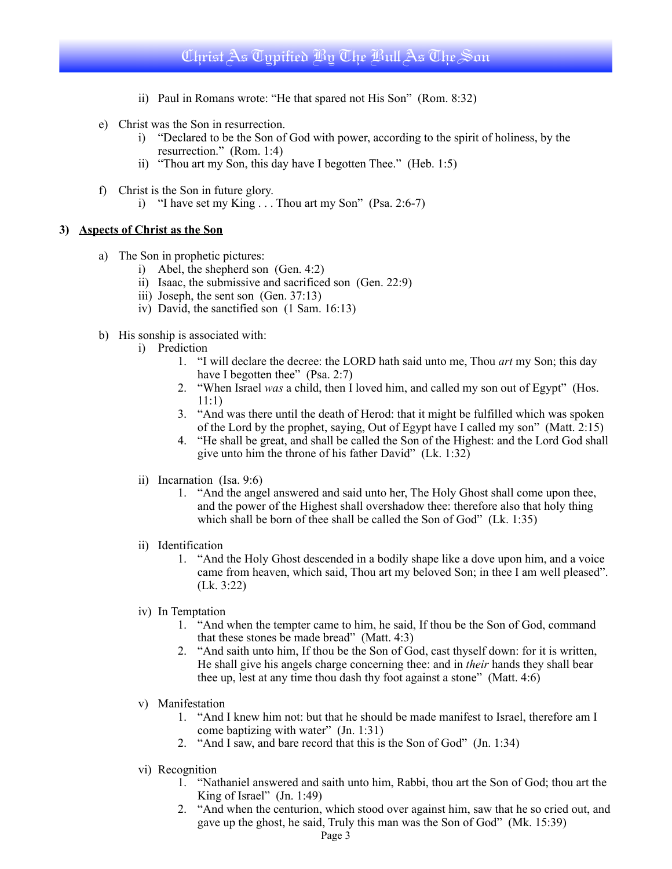# Christ As Typified By The Bull As The Son

- ii) Paul in Romans wrote: "He that spared not His Son" (Rom. 8:32)
- e) Christ was the Son in resurrection.
	- i) "Declared to be the Son of God with power, according to the spirit of holiness, by the resurrection." (Rom. 1:4)
	- ii) "Thou art my Son, this day have I begotten Thee." (Heb. 1:5)
- f) Christ is the Son in future glory.
	- i) "I have set my King  $\ldots$  Thou art my Son" (Psa. 2:6-7)

### **3) Aspects of Christ as the Son**

- a) The Son in prophetic pictures:
	- i) Abel, the shepherd son (Gen. 4:2)
	- ii) Isaac, the submissive and sacrificed son (Gen. 22:9)
	- iii) Joseph, the sent son (Gen. 37:13)
	- iv) David, the sanctified son (1 Sam. 16:13)
- b) His sonship is associated with:
	- i) Prediction
		- 1. "I will declare the decree: the LORD hath said unto me, Thou *art* my Son; this day have I begotten thee" (Psa. 2:7)
		- 2. "When Israel *was* a child, then I loved him, and called my son out of Egypt" (Hos. 11:1)
		- 3. "And was there until the death of Herod: that it might be fulfilled which was spoken of the Lord by the prophet, saying, Out of Egypt have I called my son" (Matt. 2:15)
		- 4. "He shall be great, and shall be called the Son of the Highest: and the Lord God shall give unto him the throne of his father David" (Lk. 1:32)
	- ii) Incarnation (Isa. 9:6)
		- 1. "And the angel answered and said unto her, The Holy Ghost shall come upon thee, and the power of the Highest shall overshadow thee: therefore also that holy thing which shall be born of thee shall be called the Son of God" (Lk. 1:35)
	- ii) Identification
		- 1. "And the Holy Ghost descended in a bodily shape like a dove upon him, and a voice came from heaven, which said, Thou art my beloved Son; in thee I am well pleased". (Lk. 3:22)
	- iv) In Temptation
		- 1. "And when the tempter came to him, he said, If thou be the Son of God, command that these stones be made bread" (Matt. 4:3)
		- 2. "And saith unto him, If thou be the Son of God, cast thyself down: for it is written, He shall give his angels charge concerning thee: and in *their* hands they shall bear thee up, lest at any time thou dash thy foot against a stone" (Matt. 4:6)
	- v) Manifestation
		- 1. "And I knew him not: but that he should be made manifest to Israel, therefore am I come baptizing with water" (Jn. 1:31)
		- 2. "And I saw, and bare record that this is the Son of God" (Jn. 1:34)
	- vi) Recognition
		- 1. "Nathaniel answered and saith unto him, Rabbi, thou art the Son of God; thou art the King of Israel"  $($ Jn. 1:49 $)$
		- 2. "And when the centurion, which stood over against him, saw that he so cried out, and gave up the ghost, he said, Truly this man was the Son of God" (Mk. 15:39)